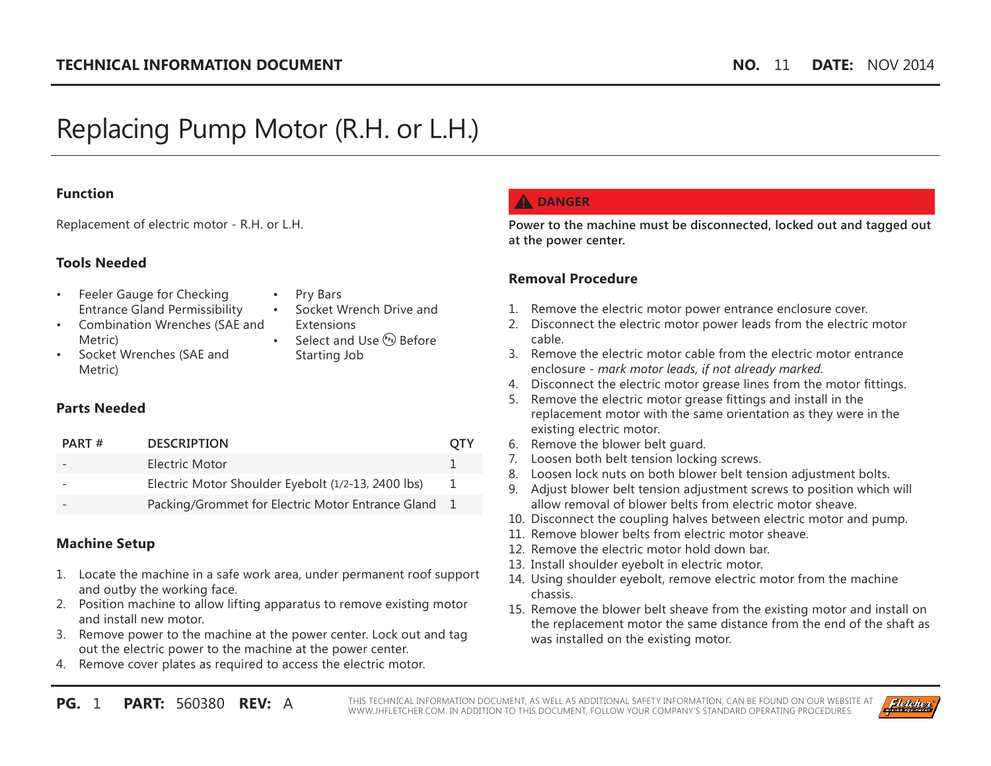# Replacing Pump Motor (R.H. or L.H.)

#### **Function**

Replacement of electric motor - R.H. or L.H.

#### **Tools Needed**

- Feeler Gauge for Checking Entrance Gland Permissibility
- Pry Bars
- Socket Wrench Drive and **Extensions**
- Combination Wrenches (SAE and Metric)
- Socket Wrenches (SAE and Metric)
- 
- Select and Use  $(P_P)$  Before Starting Job

#### **Parts Needed**

| <b>DESCRIPTION</b><br>PART#                         |    |
|-----------------------------------------------------|----|
| Electric Motor                                      |    |
| Electric Motor Shoulder Eyebolt (1/2-13, 2400 lbs)  | Т. |
| Packing/Grommet for Electric Motor Entrance Gland 1 |    |

#### **Machine Setup**

- 1. Locate the machine in a safe work area, under permanent roof support and outby the working face.
- 2. Position machine to allow lifting apparatus to remove existing motor and install new motor.
- 3. Remove power to the machine at the power center. Lock out and tag out the electric power to the machine at the power center.
- 4. Remove cover plates as required to access the electric motor.

## **A** DANGER

**Power to the machine must be disconnected, locked out and tagged out at the power center.**

#### **Removal Procedure**

- 1. Remove the electric motor power entrance enclosure cover.
- 2. Disconnect the electric motor power leads from the electric motor cable.
- 3. Remove the electric motor cable from the electric motor entrance enclosure - *mark motor leads, if not already marked*.
- 4. Disconnect the electric motor grease lines from the motor fittings.
- 5. Remove the electric motor grease fittings and install in the replacement motor with the same orientation as they were in the existing electric motor.
- 6. Remove the blower belt guard.
- 7. Loosen both belt tension locking screws.
- 8. Loosen lock nuts on both blower belt tension adjustment bolts.
- 9. Adjust blower belt tension adjustment screws to position which will allow removal of blower belts from electric motor sheave.
- 10. Disconnect the coupling halves between electric motor and pump.
- 11. Remove blower belts from electric motor sheave.
- 12. Remove the electric motor hold down bar.
- 13. Install shoulder eyebolt in electric motor.
- 14. Using shoulder eyebolt, remove electric motor from the machine chassis.
- 15. Remove the blower belt sheave from the existing motor and install on the replacement motor the same distance from the end of the shaft as was installed on the existing motor.

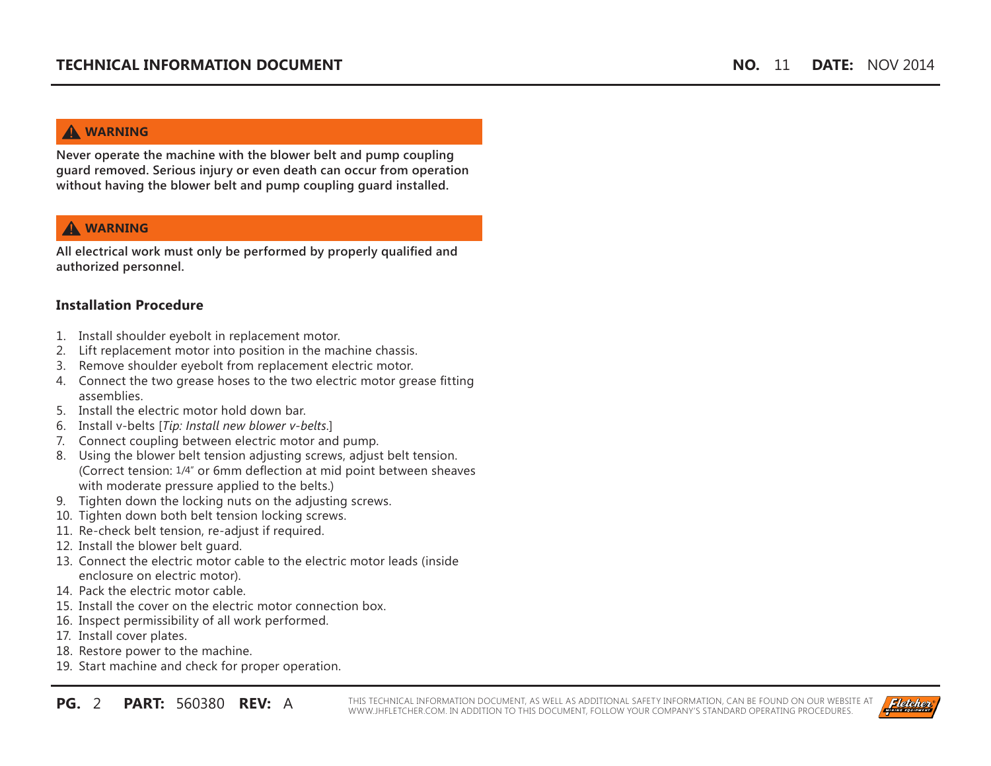# **WARNING**

**Never operate the machine with the blower belt and pump coupling guard removed. Serious injury or even death can occur from operation without having the blower belt and pump coupling guard installed.**

# **WARNING**

**All electrical work must only be performed by properly qualified and authorized personnel.**

# **Installation Procedure**

- 1. Install shoulder eyebolt in replacement motor.
- 2. Lift replacement motor into position in the machine chassis.
- 3. Remove shoulder eyebolt from replacement electric motor.
- 4. Connect the two grease hoses to the two electric motor grease fitting assemblies.
- 5. Install the electric motor hold down bar.
- 6. Install v-belts [*Tip: Install new blower v-belts.*]
- 7. Connect coupling between electric motor and pump.
- 8. Using the blower belt tension adjusting screws, adjust belt tension. (Correct tension: 1/4" or 6mm deflection at mid point between sheaves with moderate pressure applied to the belts.)
- 9. Tighten down the locking nuts on the adjusting screws.
- 10. Tighten down both belt tension locking screws.
- 11. Re-check belt tension, re-adjust if required.
- 12. Install the blower belt guard.
- 13. Connect the electric motor cable to the electric motor leads (inside enclosure on electric motor).
- 14. Pack the electric motor cable.
- 15. Install the cover on the electric motor connection box.
- 16. Inspect permissibility of all work performed.
- 17. Install cover plates.
- 18. Restore power to the machine.
- 19. Start machine and check for proper operation.

**PG.** 2 **PART:** 560380 **REV:** A THIS TECHNICAL INFORMATION DOCUMENT, AS WELL AS ADDITIONAL SAFETY INFORMATION, CAN BE FOUND ON OUR WEBSITE AT WWW.JHFLETCHER.COM. IN ADDITION TO THIS DOCUMENT, FOLLOW YOUR COMPANY'S STANDARD OPERATING PROCEDURES.